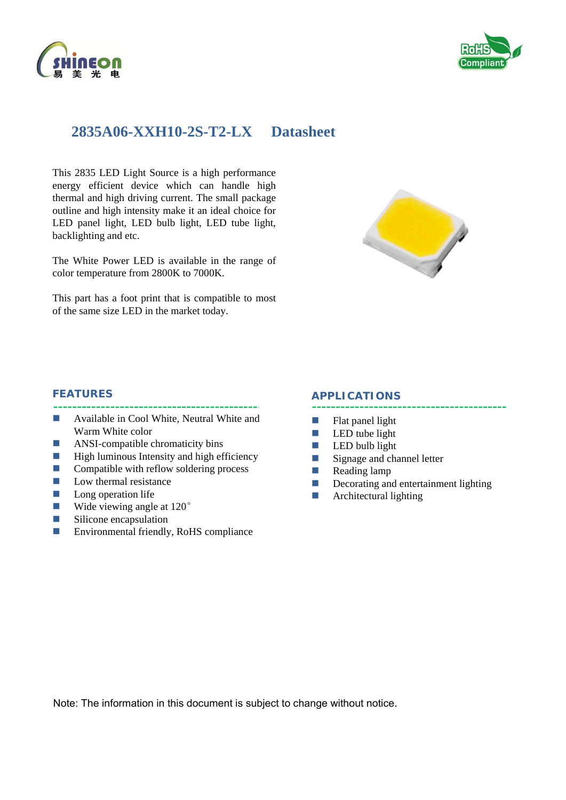



# **2835A06-XXH10-2S-T2-LX Datasheet**

This 2835 LED Light Source is a high performance energy efficient device which can handle high thermal and high driving current. The small package outline and high intensity make it an ideal choice for LED panel light, LED bulb light, LED tube light, backlighting and etc.

The White Power LED is available in the range of color temperature from 2800K to 7000K.

This part has a foot print that is compatible to most of the same size LED in the market today.



#### **FEATURES**

- **Available in Cool White, Neutral White and** Warm White color
- **ANSI-compatible chromaticity bins**
- $\blacksquare$  High luminous Intensity and high efficiency
- $\Box$  Compatible with reflow soldering process
- $\blacksquare$  Low thermal resistance
- $\Box$  Long operation life
- **Wide viewing angle at 120** $^{\circ}$
- **Silicone** encapsulation
- Environmental friendly, RoHS compliance

#### **APPLICATIONS**

- $\blacksquare$  Flat panel light
- $\blacksquare$  LED tube light
- $\Box$  LED bulb light
- Signage and channel letter
- Reading lamp
- Decorating and entertainment lighting
- $\blacksquare$  Architectural lighting

Note: The information in this document is subject to change without notice.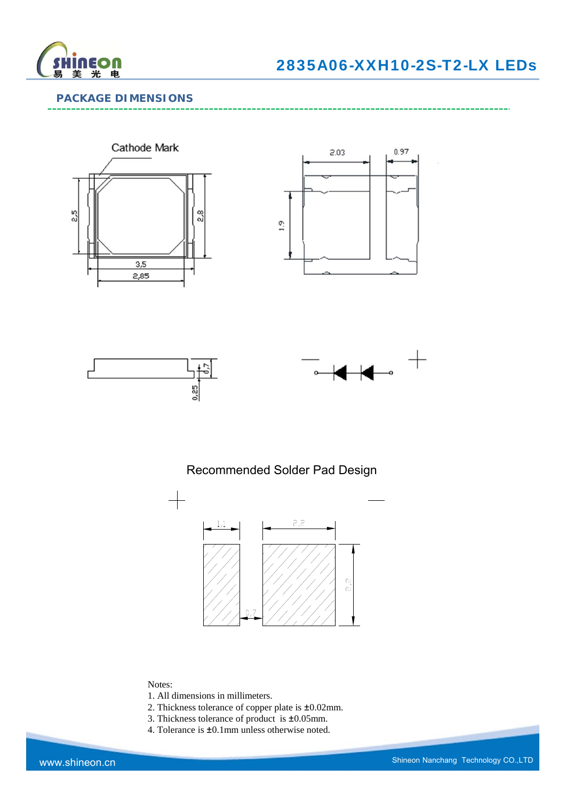

### **PACKAGE DIMENSIONS**









## Recommended Solder Pad Design



#### Notes:

- 1. All dimensions in millimeters.
- 2. Thickness tolerance of copper plate is ±0.02mm.
- 3. Thickness tolerance of product is ±0.05mm.
- 4. Tolerance is ±0.1mm unless otherwise noted.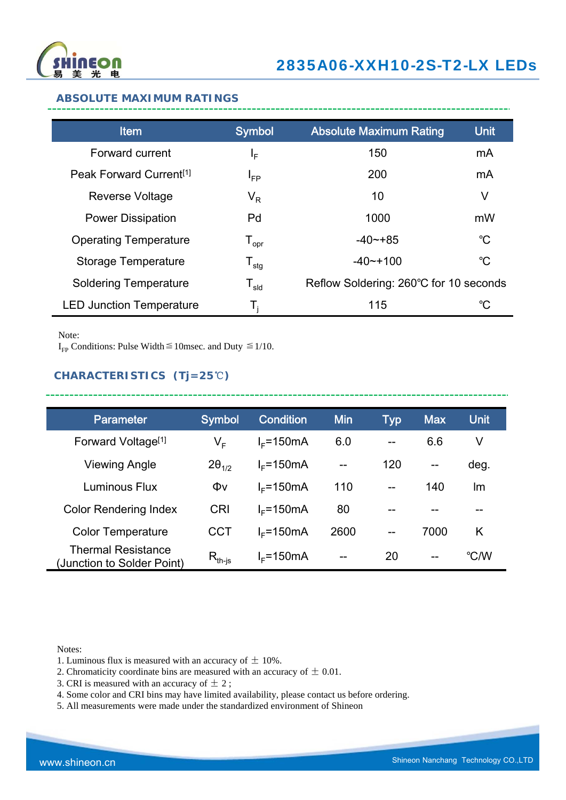

#### **ABSOLUTE MAXIMUM RATINGS**

| <b>Item</b>                         | <b>Symbol</b>                | <b>Absolute Maximum Rating</b>         | <b>Unit</b> |
|-------------------------------------|------------------------------|----------------------------------------|-------------|
| Forward current                     | ΙF                           | 150                                    | mA          |
| Peak Forward Current <sup>[1]</sup> | <b>I</b> <sub>FP</sub>       | 200                                    | mA          |
| <b>Reverse Voltage</b>              | $\mathsf{V}_\mathsf{R}$      | 10                                     | V           |
| <b>Power Dissipation</b>            | Pd                           | 1000                                   | mW          |
| <b>Operating Temperature</b>        | ${\mathsf T}_{\sf opr}$      | $-40 - +85$                            | $^{\circ}C$ |
| <b>Storage Temperature</b>          | $\mathsf{T}_{\mathsf{stg}}$  | $-40$ $-100$                           | $^{\circ}C$ |
| <b>Soldering Temperature</b>        | ${\mathsf T}_{\textsf{sld}}$ | Reflow Soldering: 260°C for 10 seconds |             |
| <b>LED Junction Temperature</b>     | Т,                           | 115                                    | °C          |

Note:

I<sub>FP</sub> Conditions: Pulse Width  $\leq$  10msec. and Duty  $\leq$  1/10.

## **CHARACTERISTICS (Tj=25**℃**)**

| <b>Parameter</b>                                        | <b>Symbol</b>                        | <b>Condition</b> | <b>Min</b> | Typ               | <b>Max</b>        | <b>Unit</b> |
|---------------------------------------------------------|--------------------------------------|------------------|------------|-------------------|-------------------|-------------|
| Forward Voltage <sup>[1]</sup>                          | V <sub>F</sub>                       | $I_F$ =150mA     | 6.0        | $-$               | 6.6               | V           |
| Viewing Angle                                           | $2\theta_{1/2}$                      | $I_F$ =150mA     | $- -$      | 120               | $\qquad \qquad -$ | deg.        |
| Luminous Flux                                           | Φv                                   | $I_F$ =150mA     | 110        | $-$               | 140               | lm          |
| <b>Color Rendering Index</b>                            | <b>CRI</b>                           | $I_F$ =150mA     | 80         |                   |                   |             |
| <b>Color Temperature</b>                                | <b>CCT</b>                           | $IE=150mA$       | 2600       | $\qquad \qquad -$ | 7000              | K           |
| <b>Thermal Resistance</b><br>(Junction to Solder Point) | $\mathsf{R}_{\mathsf{th\text{-}js}}$ | $I_F$ =150mA     | $- -$      | 20                | $\qquad \qquad -$ | °C/W        |

---------------

Notes:

- 1. Luminous flux is measured with an accuracy of  $\pm$  10%.
- 2. Chromaticity coordinate bins are measured with an accuracy of  $\pm$  0.01.
- 3. CRI is measured with an accuracy of  $\pm$  2;
- 4. Some color and CRI bins may have limited availability, please contact us before ordering.
- 5. All measurements were made under the standardized environment of Shineon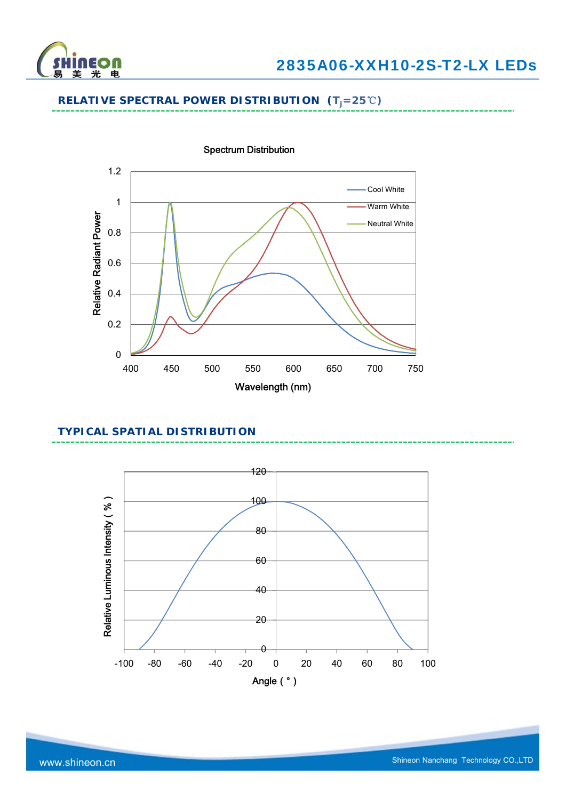

## **RELATIVE SPECTRAL POWER DISTRIBUTION (Tj=25**℃**)**



### **TYPICAL SPATIAL DISTRIBUTION**

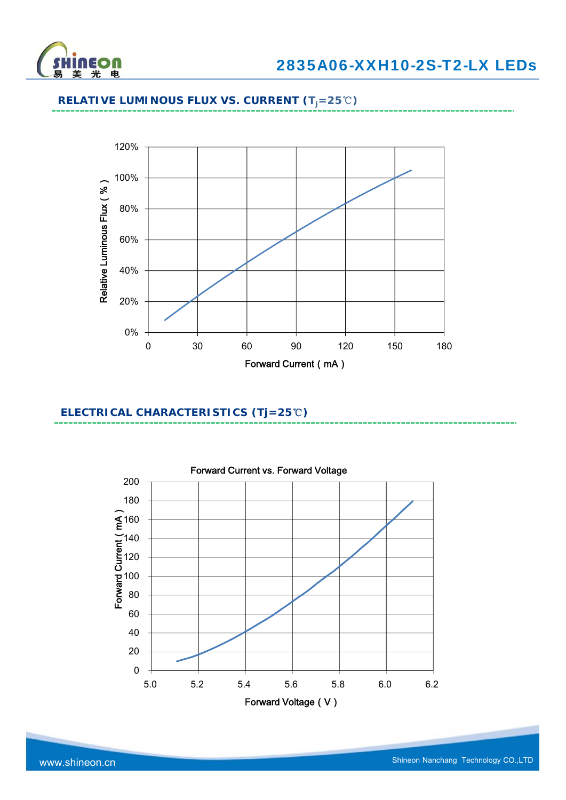

## **RELATIVE LUMINOUS FLUX VS. CURRENT (Tj=25**℃**)**



### **ELECTRICAL CHARACTERISTICS (Tj=25**℃**)**

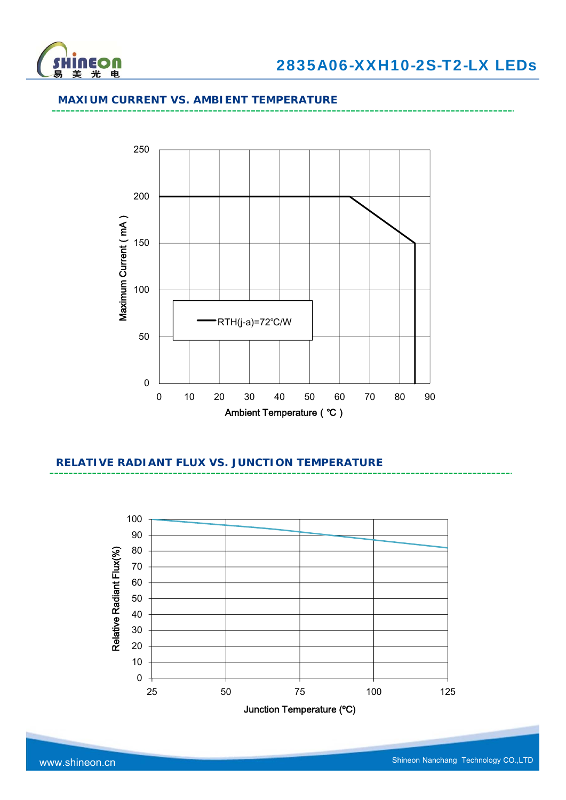

#### **MAXIUM CURRENT VS. AMBIENT TEMPERATURE**



## **RELATIVE RADIANT FLUX VS. JUNCTION TEMPERATURE**

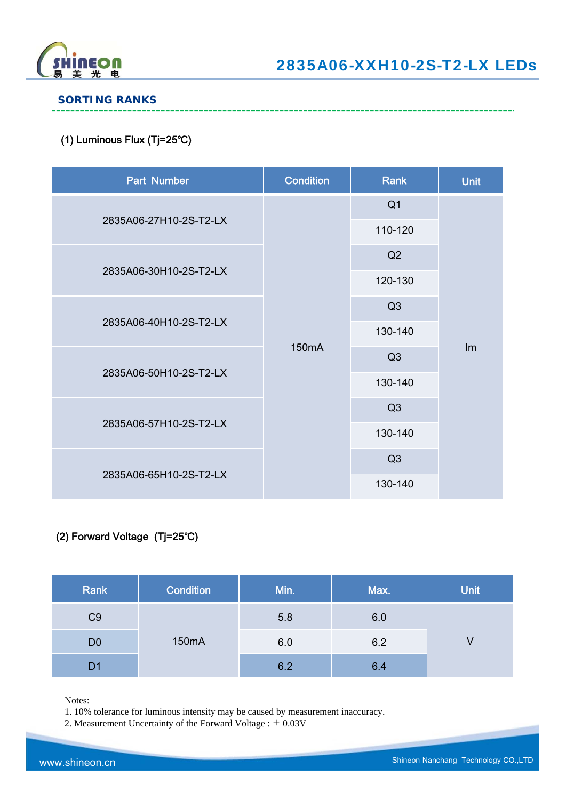

#### **SORTING RANKS**

### (1) Luminous Flux (Tj=25℃)

| Part Number            | <b>Condition</b>   | Rank           | <b>Unit</b> |
|------------------------|--------------------|----------------|-------------|
|                        |                    | Q <sub>1</sub> |             |
| 2835A06-27H10-2S-T2-LX |                    | 110-120        |             |
|                        |                    | Q2             |             |
| 2835A06-30H10-2S-T2-LX | 150 <sub>m</sub> A | 120-130        |             |
| 2835A06-40H10-2S-T2-LX |                    | Q3             |             |
|                        |                    | 130-140        |             |
|                        |                    | Q3             | Im          |
| 2835A06-50H10-2S-T2-LX |                    | 130-140        |             |
|                        |                    | Q3             |             |
| 2835A06-57H10-2S-T2-LX |                    | 130-140        |             |
|                        |                    | Q3             |             |
| 2835A06-65H10-2S-T2-LX |                    | 130-140        |             |

## (2) Forward Voltage (Tj=25℃)

| Rank           | <b>Condition</b> | Min. | Max. | <b>Unit</b> |
|----------------|------------------|------|------|-------------|
| C <sub>9</sub> |                  | 5.8  | 6.0  |             |
| D <sub>0</sub> | 150mA            | 6.0  | 6.2  | V           |
| D1             |                  | 6.2  | 6.4  |             |

Notes:

1. 10% tolerance for luminous intensity may be caused by measurement inaccuracy.

2. Measurement Uncertainty of the Forward Voltage : ± 0.03V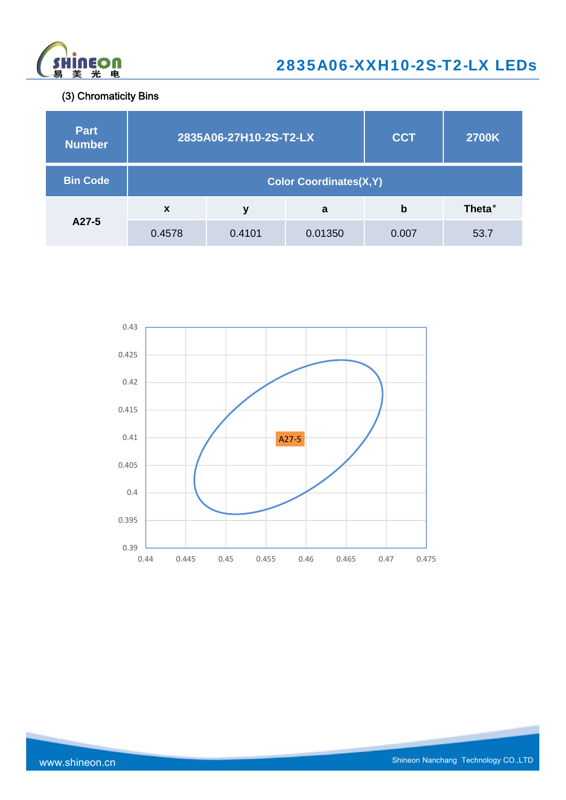

(3) Chromaticity Bins

| <b>Part</b><br><b>Number</b> | 2835A06-27H10-2S-T2-LX        |        |         | <b>CCT</b> | <b>2700K</b>   |  |
|------------------------------|-------------------------------|--------|---------|------------|----------------|--|
| <b>Bin Code</b>              | <b>Color Coordinates(X,Y)</b> |        |         |            |                |  |
|                              | $\boldsymbol{x}$              | ν      | a       | b          | <b>Theta</b> ° |  |
| A27-5                        | 0.4578                        | 0.4101 | 0.01350 | 0.007      | 53.7           |  |

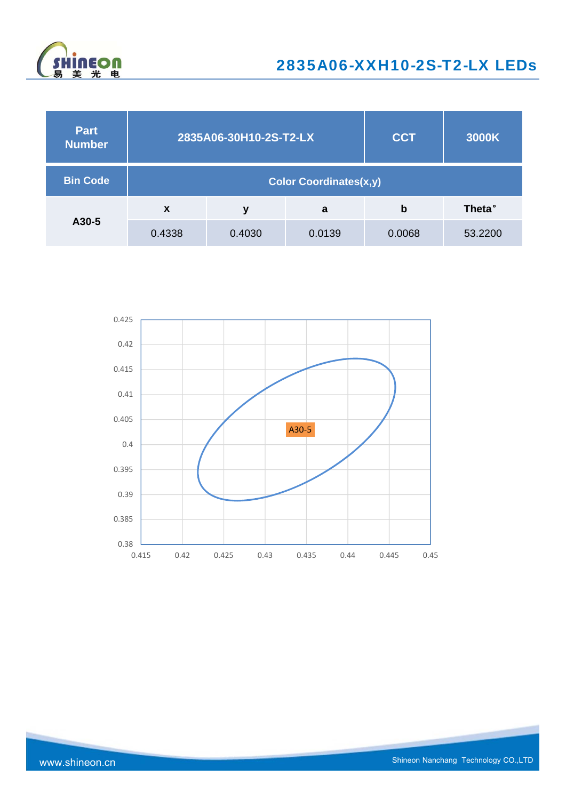

| <b>Part</b><br><b>Number</b> | 2835A06-30H10-2S-T2-LX        |        |        | <b>CCT</b> | 3000K          |  |
|------------------------------|-------------------------------|--------|--------|------------|----------------|--|
| <b>Bin Code</b>              | <b>Color Coordinates(x,y)</b> |        |        |            |                |  |
|                              | $\mathbf x$                   | v      | a      | b          | <b>Theta</b> ° |  |
| A30-5                        | 0.4338                        | 0.4030 | 0.0139 | 0.0068     | 53.2200        |  |

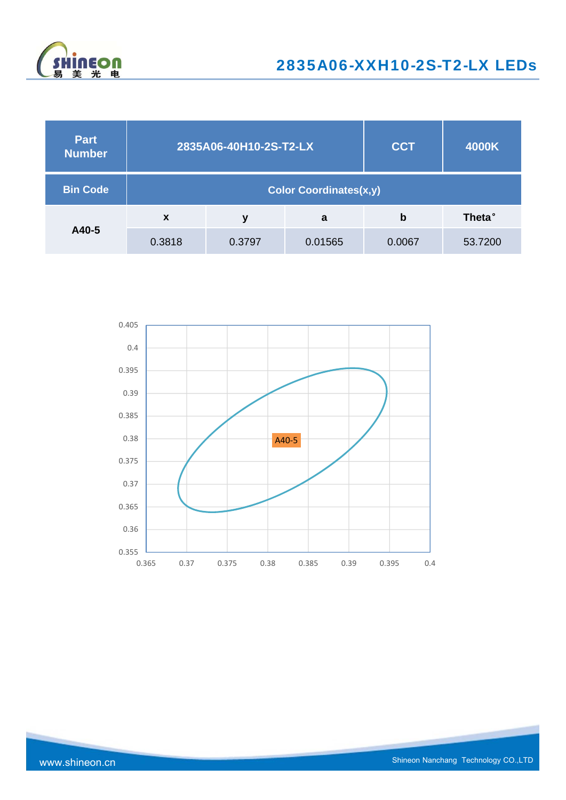

| <b>Part</b><br><b>Number</b> | 2835A06-40H10-2S-T2-LX        |        |         | <b>CCT</b> | 4000K          |  |
|------------------------------|-------------------------------|--------|---------|------------|----------------|--|
| <b>Bin Code</b>              | <b>Color Coordinates(x,y)</b> |        |         |            |                |  |
|                              | $\boldsymbol{\mathsf{x}}$     | v      | a       | b          | <b>Theta</b> ° |  |
| A40-5                        | 0.3818                        | 0.3797 | 0.01565 | 0.0067     | 53.7200        |  |

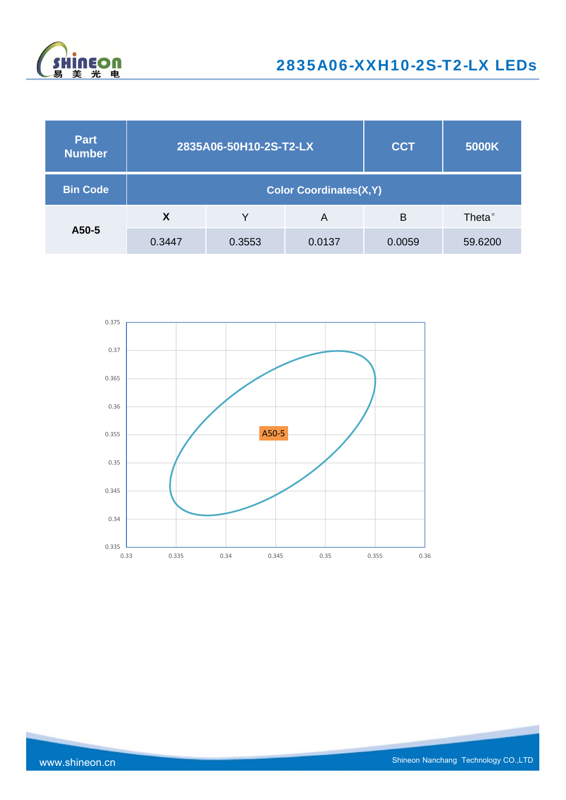

| <b>Part</b><br><b>Number</b> | 2835A06-50H10-2S-T2-LX        |        |        | <b>CCT</b> | 5000K              |  |
|------------------------------|-------------------------------|--------|--------|------------|--------------------|--|
| <b>Bin Code</b>              | <b>Color Coordinates(X,Y)</b> |        |        |            |                    |  |
|                              | X                             |        | A      | B          | Theta <sup>°</sup> |  |
| A50-5                        | 0.3447                        | 0.3553 | 0.0137 | 0.0059     | 59.6200            |  |

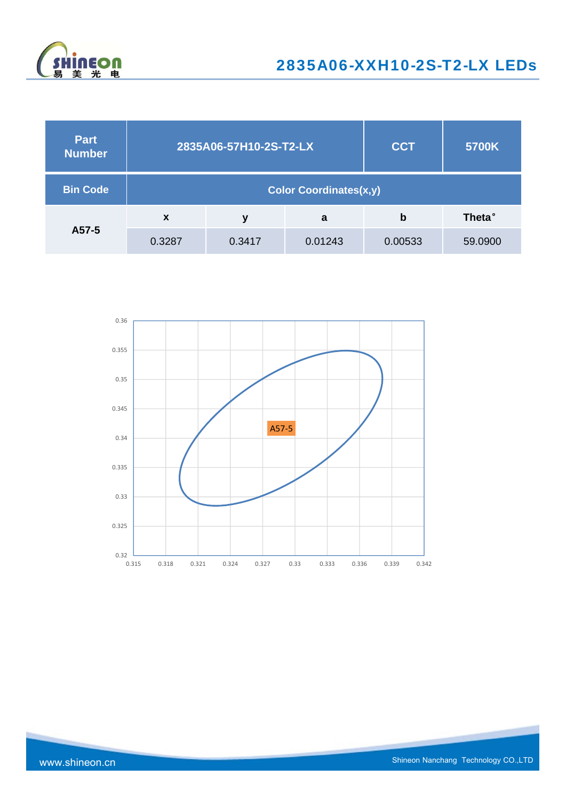

| <b>Part</b><br><b>Number</b> | 2835A06-57H10-2S-T2-LX        |        |         | <b>CCT</b> | 5700K   |  |
|------------------------------|-------------------------------|--------|---------|------------|---------|--|
| <b>Bin Code</b>              | <b>Color Coordinates(x,y)</b> |        |         |            |         |  |
|                              | $\boldsymbol{\mathsf{x}}$     | ν      | a       | b          | Theta°  |  |
| A57-5                        | 0.3287                        | 0.3417 | 0.01243 | 0.00533    | 59.0900 |  |

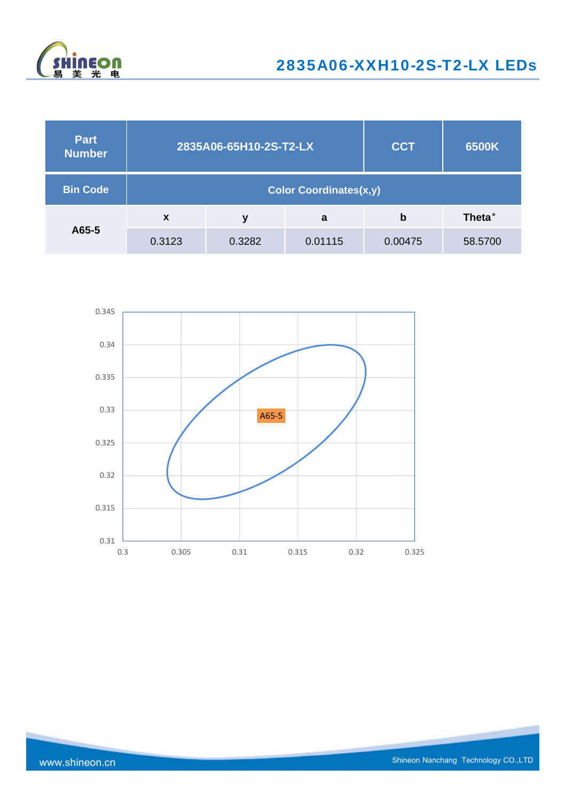

| <b>Part</b><br><b>Number</b> | 2835A06-65H10-2S-T2-LX        |        |         | <b>CCT</b> | 6500K          |
|------------------------------|-------------------------------|--------|---------|------------|----------------|
| <b>Bin Code</b>              | <b>Color Coordinates(x,y)</b> |        |         |            |                |
|                              | $\boldsymbol{\mathsf{x}}$     | ۷      | a       | b          | <b>Theta</b> ° |
| A65-5                        | 0.3123                        | 0.3282 | 0.01115 | 0.00475    | 58.5700        |

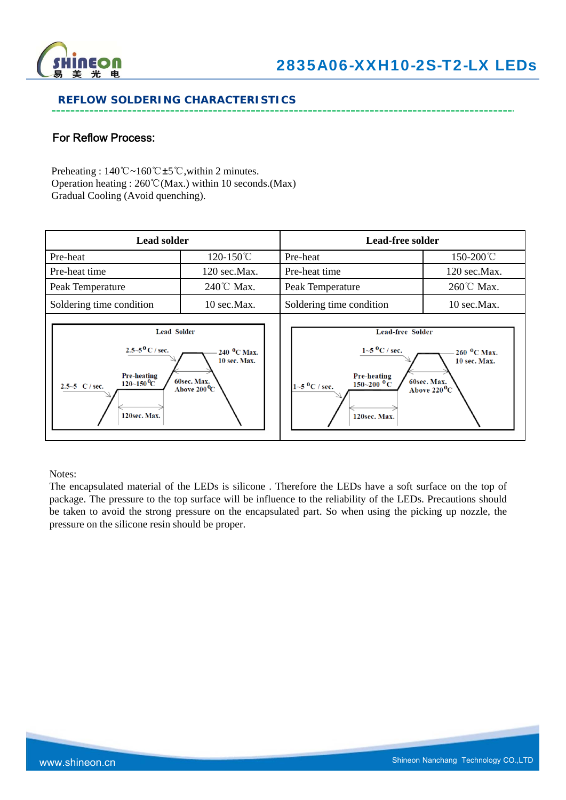

#### **REFLOW SOLDERING CHARACTERISTICS**

## For Reflow Process:

Preheating : 140℃~160℃±5℃,within 2 minutes. Operation heating : 260℃(Max.) within 10 seconds.(Max) Gradual Cooling (Avoid quenching).

| <b>Lead solder</b>                                                                                                                                                                                                                    |              | <b>Lead-free solder</b>                                                                                                                          |                                                                                   |  |
|---------------------------------------------------------------------------------------------------------------------------------------------------------------------------------------------------------------------------------------|--------------|--------------------------------------------------------------------------------------------------------------------------------------------------|-----------------------------------------------------------------------------------|--|
| Pre-heat                                                                                                                                                                                                                              | 120-150°C    | Pre-heat                                                                                                                                         | 150-200°C                                                                         |  |
| Pre-heat time                                                                                                                                                                                                                         | 120 sec.Max. | Pre-heat time                                                                                                                                    | 120 sec.Max.                                                                      |  |
| Peak Temperature                                                                                                                                                                                                                      | 240℃ Max.    | Peak Temperature                                                                                                                                 | 260℃ Max.                                                                         |  |
| Soldering time condition                                                                                                                                                                                                              | 10 sec.Max.  | Soldering time condition                                                                                                                         | 10 sec.Max.                                                                       |  |
| <b>Lead Solder</b><br>$2.5 - 5^{0}$ C / sec.<br>240 <sup>O</sup> C Max.<br><b>10 sec. Max.</b><br><b>Pre-heating</b><br>60sec. Max.<br>$120\text{--}150\text{°C}$<br>2.5~5 $C / sec$ .<br>Above $200^{\circ}\text{C}$<br>120sec. Max. |              | <b>Lead-free Solder</b><br>$1 - 5$ °C / sec.<br><b>Pre-heating</b><br>$150\text{--}200~^{\text{o}}\text{C}$<br>$1 - 5$ °C / sec.<br>120sec. Max. | $260$ <sup>O</sup> C Max.<br>10 sec. Max.<br>60sec. Max.<br>Above $220^{\circ}$ C |  |

Notes:

The encapsulated material of the LEDs is silicone . Therefore the LEDs have a soft surface on the top of package. The pressure to the top surface will be influence to the reliability of the LEDs. Precautions should be taken to avoid the strong pressure on the encapsulated part. So when using the picking up nozzle, the pressure on the silicone resin should be proper.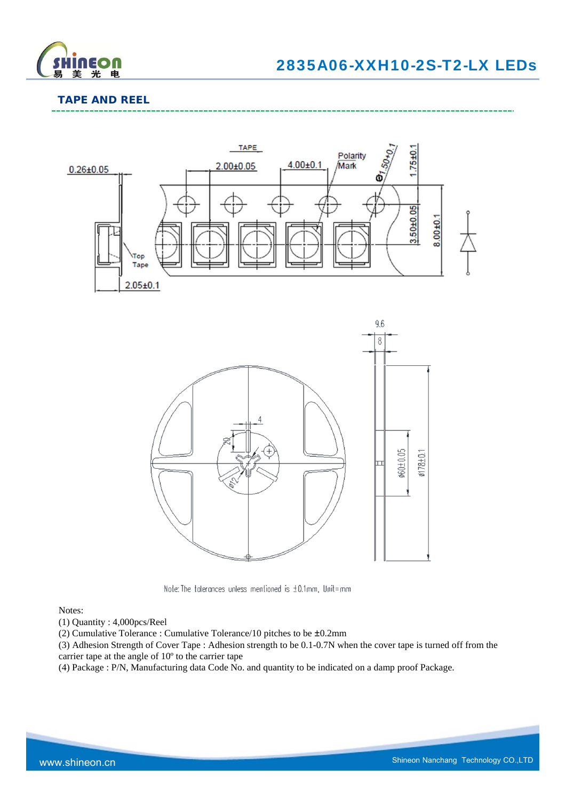

## **TAPE AND REEL**





Note: The tolerances unless mentioned is ±0.1mm, Unit=mm

#### Notes:

- (1) Quantity : 4,000pcs/Reel
- (2) Cumulative Tolerance : Cumulative Tolerance/10 pitches to be ±0.2mm
- (3) Adhesion Strength of Cover Tape : Adhesion strength to be 0.1-0.7N when the cover tape is turned off from the carrier tape at the angle of 10º to the carrier tape
- (4) Package : P/N, Manufacturing data Code No. and quantity to be indicated on a damp proof Package.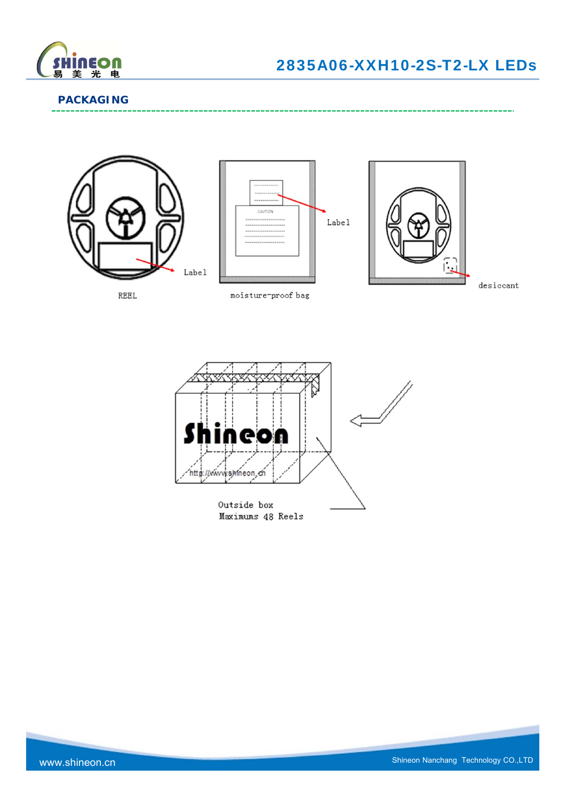

------------------------------------

#### **PACKAGING**







 $\mathtt{desiccant}$ 

REEL

moisture-proof bag

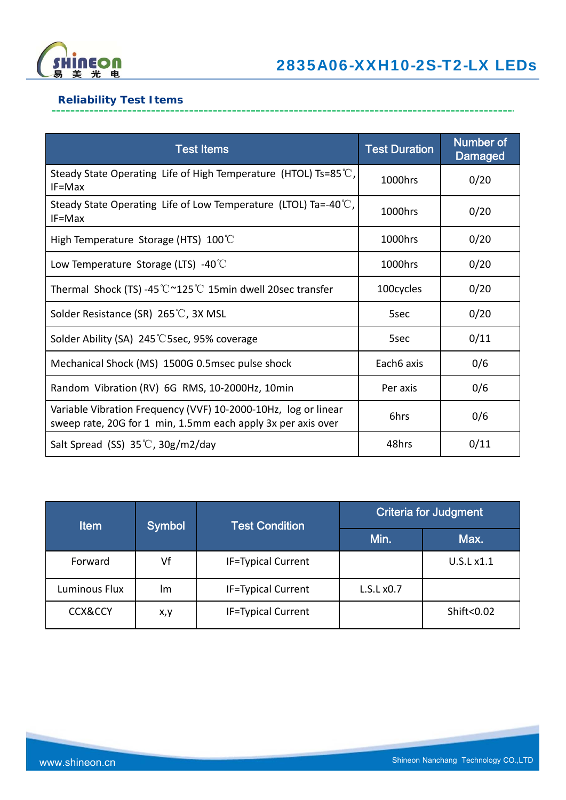

## **Reliability Test Items**

| <b>Test Items</b>                                                                                                              | <b>Test Duration</b> | <b>Number of</b><br><b>Damaged</b> |
|--------------------------------------------------------------------------------------------------------------------------------|----------------------|------------------------------------|
| Steady State Operating Life of High Temperature (HTOL) Ts=85 $\degree$ C,<br>$IF = Max$                                        | 1000hrs              | 0/20                               |
| Steady State Operating Life of Low Temperature (LTOL) Ta=-40 $\degree$ C,<br>$IF = Max$                                        | 1000hrs              | 0/20                               |
| High Temperature Storage (HTS) $100^{\circ}$ C                                                                                 | 1000hrs              | 0/20                               |
| Low Temperature Storage (LTS) -40 $\degree$ C                                                                                  | 1000hrs              | 0/20                               |
| Thermal Shock (TS) -45 $\degree \text{C} \degree 125 \degree \text{C}$ 15min dwell 20sec transfer                              | 100cycles            | 0/20                               |
| Solder Resistance (SR) 265℃, 3X MSL                                                                                            | 5sec                 | 0/20                               |
| Solder Ability (SA) 245 °C 5sec, 95% coverage                                                                                  | 5sec                 | 0/11                               |
| Mechanical Shock (MS) 1500G 0.5msec pulse shock                                                                                | Each6 axis           | 0/6                                |
| Random Vibration (RV) 6G RMS, 10-2000Hz, 10min                                                                                 | Per axis             | 0/6                                |
| Variable Vibration Frequency (VVF) 10-2000-10Hz, log or linear<br>sweep rate, 20G for 1 min, 1.5mm each apply 3x per axis over | 6hrs                 | 0/6                                |
| Salt Spread (SS) $35^{\circ}$ C, $30g/m2$ /day                                                                                 | 48hrs                | 0/11                               |

| <b>Item</b>        | Symbol | <b>Test Condition</b>     | <b>Criteria for Judgment</b> |            |
|--------------------|--------|---------------------------|------------------------------|------------|
|                    |        |                           | Min.                         | Max.       |
| Forward            | Vf     | <b>IF=Typical Current</b> |                              | U.S.L x1.1 |
| Luminous Flux      | Im     | <b>IF=Typical Current</b> | L.S.Lx0.7                    |            |
| <b>CCX&amp;CCY</b> | x,y    | <b>IF=Typical Current</b> |                              | Shift<0.02 |